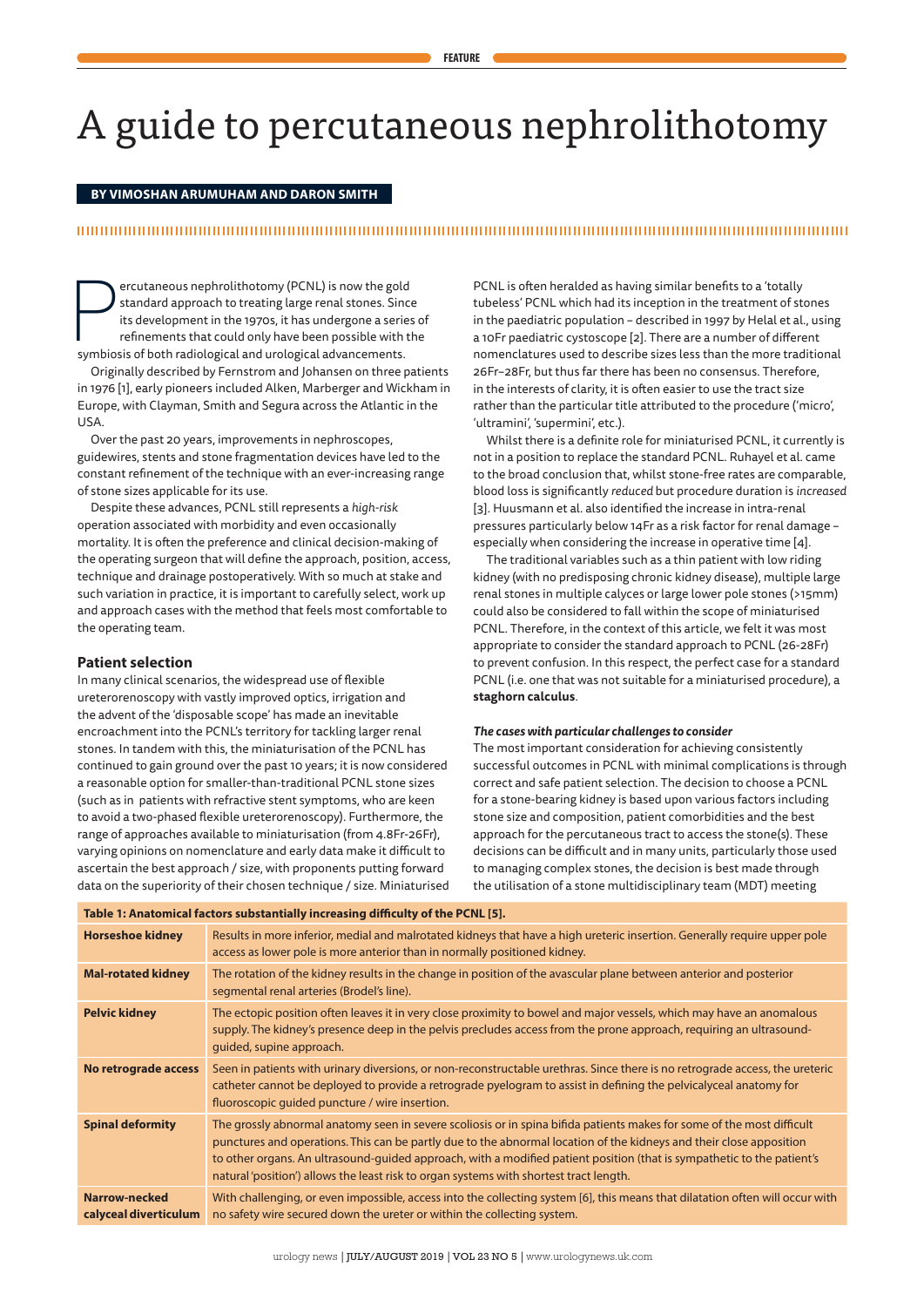# A guide to percutaneous nephrolithotomy

# **BY VIMOSHAN ARUMUHAM AND DARON SMITH**

# 

Percutaneous nephrolithotomy (PCNL) is now the gold standard approach to treating large renal stones. Sin its development in the 1970s, it has undergone a series refinements that could only have been possible with symbiosi ercutaneous nephrolithotomy (PCNL) is now the gold standard approach to treating large renal stones. Since its development in the 1970s, it has undergone a series of refinements that could only have been possible with the

Originally described by Fernstrom and Johansen on three patients in 1976 [1], early pioneers included Alken, Marberger and Wickham in Europe, with Clayman, Smith and Segura across the Atlantic in the USA.

Over the past 20 years, improvements in nephroscopes, guidewires, stents and stone fragmentation devices have led to the constant refinement of the technique with an ever-increasing range of stone sizes applicable for its use.

Despite these advances, PCNL still represents a *high-risk* operation associated with morbidity and even occasionally mortality. It is often the preference and clinical decision-making of the operating surgeon that will define the approach, position, access, technique and drainage postoperatively. With so much at stake and such variation in practice, it is important to carefully select, work up and approach cases with the method that feels most comfortable to the operating team.

# **Patient selection**

In many clinical scenarios, the widespread use of flexible ureterorenoscopy with vastly improved optics, irrigation and the advent of the 'disposable scope' has made an inevitable encroachment into the PCNL's territory for tackling larger renal stones. In tandem with this, the miniaturisation of the PCNL has continued to gain ground over the past 10 years; it is now considered a reasonable option for smaller-than-traditional PCNL stone sizes (such as in patients with refractive stent symptoms, who are keen to avoid a two-phased flexible ureterorenoscopy). Furthermore, the range of approaches available to miniaturisation (from 4.8Fr-26Fr), varying opinions on nomenclature and early data make it difficult to ascertain the best approach / size, with proponents putting forward data on the superiority of their chosen technique / size. Miniaturised

PCNL is often heralded as having similar benefits to a 'totally tubeless' PCNL which had its inception in the treatment of stones in the paediatric population – described in 1997 by Helal et al., using a 10Fr paediatric cystoscope [2]. There are a number of different nomenclatures used to describe sizes less than the more traditional 26Fr–28Fr, but thus far there has been no consensus. Therefore, in the interests of clarity, it is often easier to use the tract size rather than the particular title attributed to the procedure ('micro', 'ultramini', 'supermini', etc.).

Whilst there is a definite role for miniaturised PCNL, it currently is not in a position to replace the standard PCNL. Ruhayel et al. came to the broad conclusion that, whilst stone-free rates are comparable, blood loss is significantly *reduced* but procedure duration is *increased* [3]. Huusmann et al. also identified the increase in intra-renal pressures particularly below 14Fr as a risk factor for renal damage – especially when considering the increase in operative time [4].

The traditional variables such as a thin patient with low riding kidney (with no predisposing chronic kidney disease), multiple large renal stones in multiple calyces or large lower pole stones (>15mm) could also be considered to fall within the scope of miniaturised PCNL. Therefore, in the context of this article, we felt it was most appropriate to consider the standard approach to PCNL (26-28Fr) to prevent confusion. In this respect, the perfect case for a standard PCNL (i.e. one that was not suitable for a miniaturised procedure), a **staghorn calculus**.

#### *The cases with particular challenges to consider*

The most important consideration for achieving consistently successful outcomes in PCNL with minimal complications is through correct and safe patient selection. The decision to choose a PCNL for a stone-bearing kidney is based upon various factors including stone size and composition, patient comorbidities and the best approach for the percutaneous tract to access the stone(s). These decisions can be difficult and in many units, particularly those used to managing complex stones, the decision is best made through the utilisation of a stone multidisciplinary team (MDT) meeting

| Table 1: Anatomical factors substantially increasing difficulty of the PCNL [5]. |                                                                                                                                                                                                                                                                                                                                                                                                                                                                   |  |
|----------------------------------------------------------------------------------|-------------------------------------------------------------------------------------------------------------------------------------------------------------------------------------------------------------------------------------------------------------------------------------------------------------------------------------------------------------------------------------------------------------------------------------------------------------------|--|
| <b>Horseshoe kidney</b>                                                          | Results in more inferior, medial and malrotated kidneys that have a high ureteric insertion. Generally require upper pole<br>access as lower pole is more anterior than in normally positioned kidney.                                                                                                                                                                                                                                                            |  |
| <b>Mal-rotated kidney</b>                                                        | The rotation of the kidney results in the change in position of the avascular plane between anterior and posterior<br>segmental renal arteries (Brodel's line).                                                                                                                                                                                                                                                                                                   |  |
| <b>Pelvic kidney</b>                                                             | The ectopic position often leaves it in very close proximity to bowel and major vessels, which may have an anomalous<br>supply. The kidney's presence deep in the pelvis precludes access from the prone approach, requiring an ultrasound-<br>quided, supine approach.                                                                                                                                                                                           |  |
| No retrograde access                                                             | Seen in patients with urinary diversions, or non-reconstructable urethras. Since there is no retrograde access, the ureteric<br>catheter cannot be deployed to provide a retrograde pyelogram to assist in defining the pelvicalyceal anatomy for<br>fluoroscopic quided puncture / wire insertion.                                                                                                                                                               |  |
| <b>Spinal deformity</b>                                                          | The grossly abnormal anatomy seen in severe scoliosis or in spina bifida patients makes for some of the most difficult<br>punctures and operations. This can be partly due to the abnormal location of the kidneys and their close apposition<br>to other organs. An ultrasound-guided approach, with a modified patient position (that is sympathetic to the patient's<br>natural 'position') allows the least risk to organ systems with shortest tract length. |  |
| Narrow-necked<br>calyceal diverticulum                                           | With challenging, or even impossible, access into the collecting system [6], this means that dilatation often will occur with<br>no safety wire secured down the ureter or within the collecting system.                                                                                                                                                                                                                                                          |  |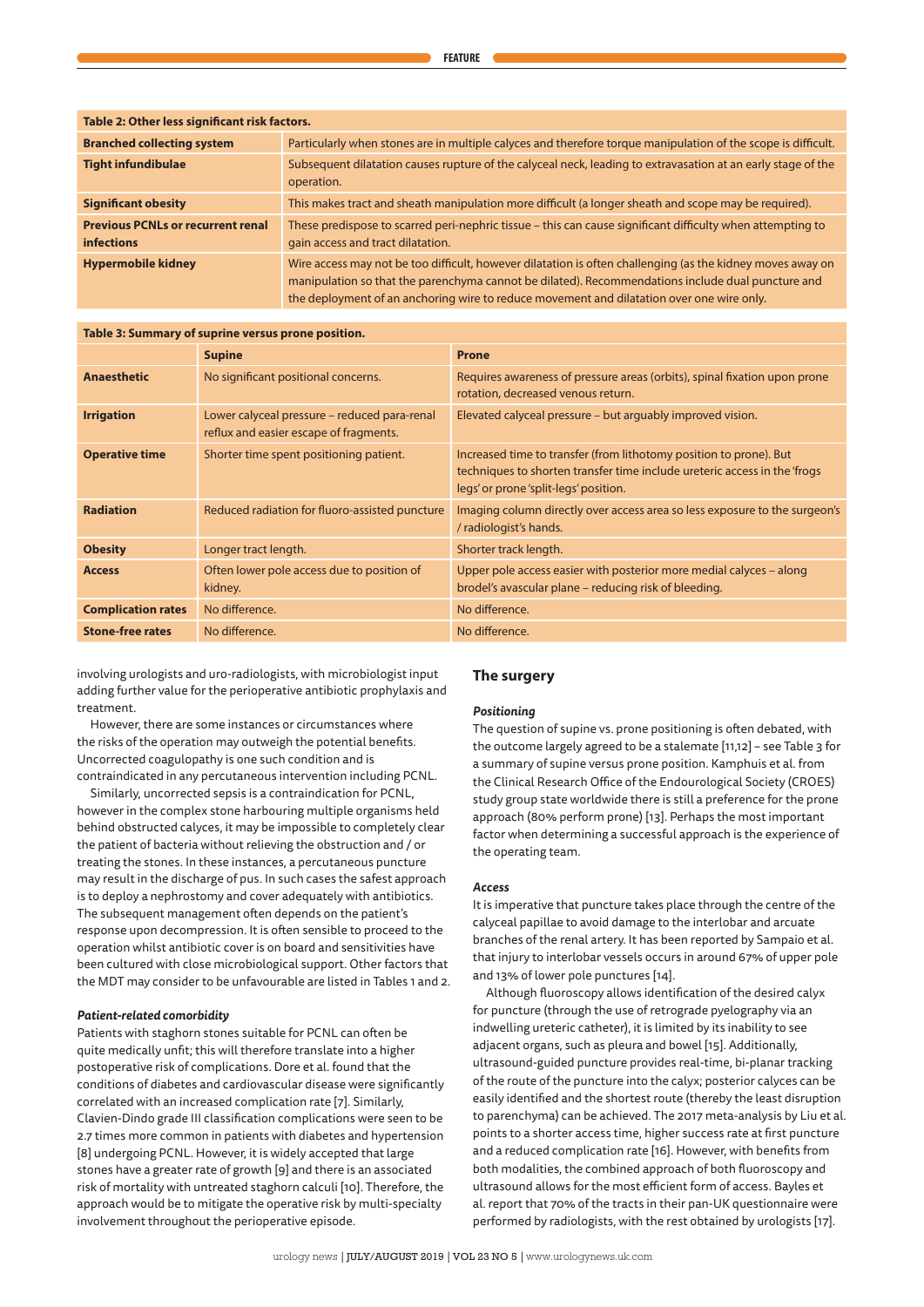| Table 2: Other less significant risk factors.                 |                                                                                                                                                                                                                                                                                                              |  |  |  |
|---------------------------------------------------------------|--------------------------------------------------------------------------------------------------------------------------------------------------------------------------------------------------------------------------------------------------------------------------------------------------------------|--|--|--|
| <b>Branched collecting system</b>                             | Particularly when stones are in multiple calyces and therefore torque manipulation of the scope is difficult.                                                                                                                                                                                                |  |  |  |
| <b>Tight infundibulae</b>                                     | Subsequent dilatation causes rupture of the calyceal neck, leading to extravasation at an early stage of the<br>operation.                                                                                                                                                                                   |  |  |  |
| <b>Significant obesity</b>                                    | This makes tract and sheath manipulation more difficult (a longer sheath and scope may be required).                                                                                                                                                                                                         |  |  |  |
| <b>Previous PCNLs or recurrent renal</b><br><b>infections</b> | These predispose to scarred peri-nephric tissue – this can cause significant difficulty when attempting to<br>gain access and tract dilatation.                                                                                                                                                              |  |  |  |
| <b>Hypermobile kidney</b>                                     | Wire access may not be too difficult, however dilatation is often challenging (as the kidney moves away on<br>manipulation so that the parenchyma cannot be dilated). Recommendations include dual puncture and<br>the deployment of an anchoring wire to reduce movement and dilatation over one wire only. |  |  |  |

# **Table 3: Summary of suprine versus prone position.**

|                           | <b>Supine</b>                                                                          | <b>Prone</b>                                                                                                                                                                             |
|---------------------------|----------------------------------------------------------------------------------------|------------------------------------------------------------------------------------------------------------------------------------------------------------------------------------------|
| <b>Anaesthetic</b>        | No significant positional concerns.                                                    | Requires awareness of pressure areas (orbits), spinal fixation upon prone<br>rotation, decreased venous return.                                                                          |
| <b>Irrigation</b>         | Lower calyceal pressure - reduced para-renal<br>reflux and easier escape of fragments. | Elevated calyceal pressure – but arguably improved vision.                                                                                                                               |
| <b>Operative time</b>     | Shorter time spent positioning patient.                                                | Increased time to transfer (from lithotomy position to prone). But<br>techniques to shorten transfer time include ureteric access in the 'frogs<br>legs' or prone 'split-legs' position. |
| <b>Radiation</b>          | Reduced radiation for fluoro-assisted puncture                                         | Imaging column directly over access area so less exposure to the surgeon's<br>/ radiologist's hands.                                                                                     |
| <b>Obesity</b>            | Longer tract length.                                                                   | Shorter track length.                                                                                                                                                                    |
| <b>Access</b>             | Often lower pole access due to position of<br>kidney.                                  | Upper pole access easier with posterior more medial calyces - along<br>brodel's avascular plane – reducing risk of bleeding.                                                             |
| <b>Complication rates</b> | No difference.                                                                         | No difference.                                                                                                                                                                           |
| <b>Stone-free rates</b>   | No difference.                                                                         | No difference.                                                                                                                                                                           |

involving urologists and uro-radiologists, with microbiologist input adding further value for the perioperative antibiotic prophylaxis and treatment.

However, there are some instances or circumstances where the risks of the operation may outweigh the potential benefits. Uncorrected coagulopathy is one such condition and is contraindicated in any percutaneous intervention including PCNL.

Similarly, uncorrected sepsis is a contraindication for PCNL, however in the complex stone harbouring multiple organisms held behind obstructed calyces, it may be impossible to completely clear the patient of bacteria without relieving the obstruction and / or treating the stones. In these instances, a percutaneous puncture may result in the discharge of pus. In such cases the safest approach is to deploy a nephrostomy and cover adequately with antibiotics. The subsequent management often depends on the patient's response upon decompression. It is often sensible to proceed to the operation whilst antibiotic cover is on board and sensitivities have been cultured with close microbiological support. Other factors that the MDT may consider to be unfavourable are listed in Tables 1 and 2.

# *Patient-related comorbidity*

Patients with staghorn stones suitable for PCNL can often be quite medically unfit; this will therefore translate into a higher postoperative risk of complications. Dore et al. found that the conditions of diabetes and cardiovascular disease were significantly correlated with an increased complication rate [7]. Similarly, Clavien-Dindo grade III classification complications were seen to be 2.7 times more common in patients with diabetes and hypertension [8] undergoing PCNL. However, it is widely accepted that large stones have a greater rate of growth [9] and there is an associated risk of mortality with untreated staghorn calculi [10]. Therefore, the approach would be to mitigate the operative risk by multi-specialty involvement throughout the perioperative episode.

# **The surgery**

# *Positioning*

The question of supine vs. prone positioning is often debated, with the outcome largely agreed to be a stalemate [11,12] – see Table 3 for a summary of supine versus prone position. Kamphuis et al. from the Clinical Research Office of the Endourological Society (CROES) study group state worldwide there is still a preference for the prone approach (80% perform prone) [13]. Perhaps the most important factor when determining a successful approach is the experience of the operating team.

#### *Access*

It is imperative that puncture takes place through the centre of the calyceal papillae to avoid damage to the interlobar and arcuate branches of the renal artery. It has been reported by Sampaio et al. that injury to interlobar vessels occurs in around 67% of upper pole and 13% of lower pole punctures [14].

Although fluoroscopy allows identification of the desired calyx for puncture (through the use of retrograde pyelography via an indwelling ureteric catheter), it is limited by its inability to see adjacent organs, such as pleura and bowel [15]. Additionally, ultrasound-guided puncture provides real-time, bi-planar tracking of the route of the puncture into the calyx; posterior calyces can be easily identified and the shortest route (thereby the least disruption to parenchyma) can be achieved. The 2017 meta-analysis by Liu et al. points to a shorter access time, higher success rate at first puncture and a reduced complication rate [16]. However, with benefits from both modalities, the combined approach of both fluoroscopy and ultrasound allows for the most efficient form of access. Bayles et al. report that 70% of the tracts in their pan-UK questionnaire were performed by radiologists, with the rest obtained by urologists [17].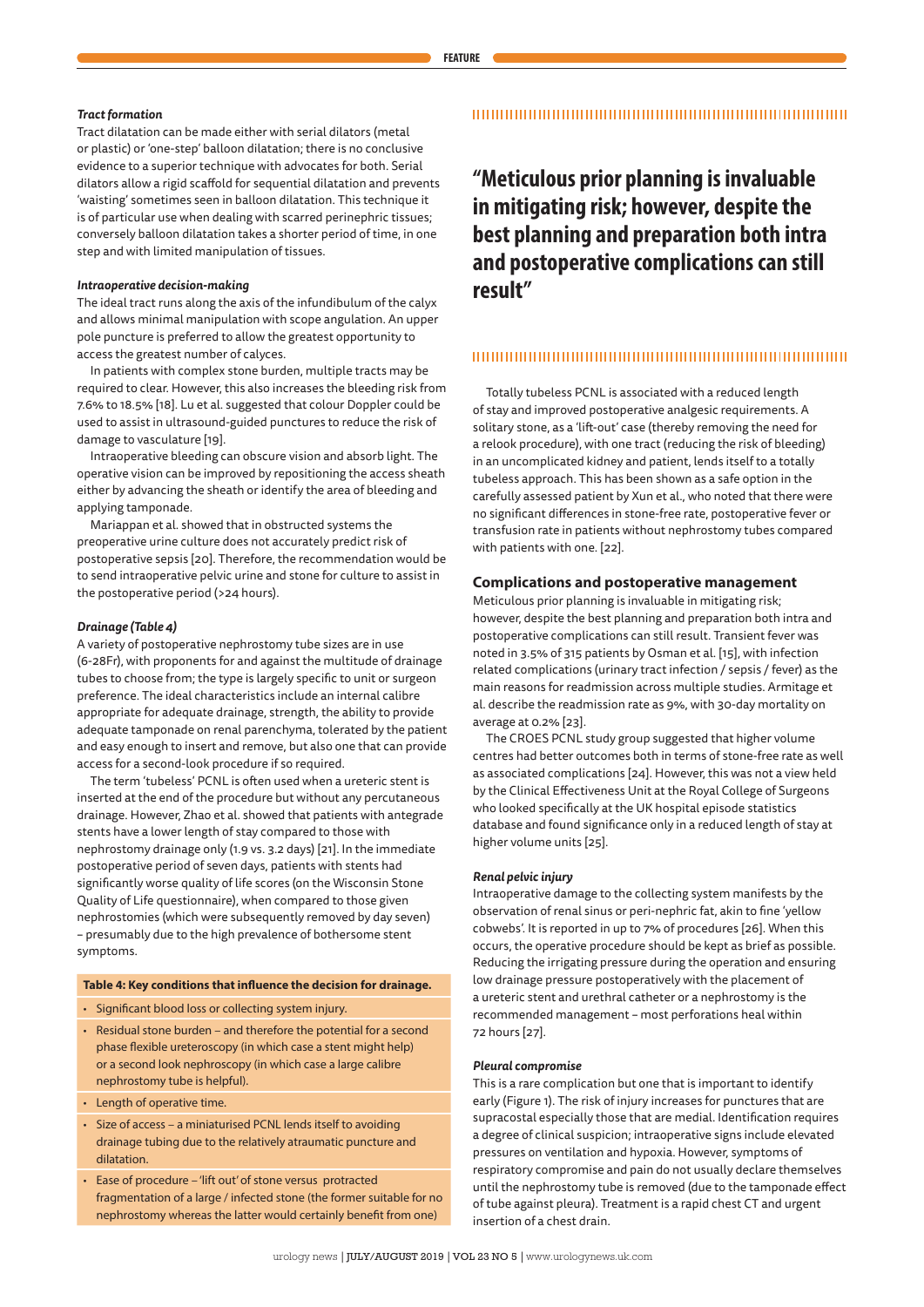# *Tract formation*

Tract dilatation can be made either with serial dilators (metal or plastic) or 'one-step' balloon dilatation; there is no conclusive evidence to a superior technique with advocates for both. Serial dilators allow a rigid scaffold for sequential dilatation and prevents 'waisting' sometimes seen in balloon dilatation. This technique it is of particular use when dealing with scarred perinephric tissues; conversely balloon dilatation takes a shorter period of time, in one step and with limited manipulation of tissues.

#### *Intraoperative decision-making*

The ideal tract runs along the axis of the infundibulum of the calyx and allows minimal manipulation with scope angulation. An upper pole puncture is preferred to allow the greatest opportunity to access the greatest number of calyces.

In patients with complex stone burden, multiple tracts may be required to clear. However, this also increases the bleeding risk from 7.6% to 18.5% [18]. Lu et al. suggested that colour Doppler could be used to assist in ultrasound-guided punctures to reduce the risk of damage to vasculature [19].

Intraoperative bleeding can obscure vision and absorb light. The operative vision can be improved by repositioning the access sheath either by advancing the sheath or identify the area of bleeding and applying tamponade.

Mariappan et al. showed that in obstructed systems the preoperative urine culture does not accurately predict risk of postoperative sepsis [20]. Therefore, the recommendation would be to send intraoperative pelvic urine and stone for culture to assist in the postoperative period (>24 hours).

#### *Drainage (Table 4)*

A variety of postoperative nephrostomy tube sizes are in use (6-28Fr), with proponents for and against the multitude of drainage tubes to choose from; the type is largely specific to unit or surgeon preference. The ideal characteristics include an internal calibre appropriate for adequate drainage, strength, the ability to provide adequate tamponade on renal parenchyma, tolerated by the patient and easy enough to insert and remove, but also one that can provide access for a second-look procedure if so required.

The term 'tubeless' PCNL is often used when a ureteric stent is inserted at the end of the procedure but without any percutaneous drainage. However, Zhao et al. showed that patients with antegrade stents have a lower length of stay compared to those with nephrostomy drainage only (1.9 vs. 3.2 days) [21]. In the immediate postoperative period of seven days, patients with stents had significantly worse quality of life scores (on the Wisconsin Stone Quality of Life questionnaire), when compared to those given nephrostomies (which were subsequently removed by day seven) – presumably due to the high prevalence of bothersome stent symptoms.

#### **Table 4: Key conditions that influence the decision for drainage.**

- Significant blood loss or collecting system injury.
- Residual stone burden and therefore the potential for a second phase flexible ureteroscopy (in which case a stent might help) or a second look nephroscopy (in which case a large calibre nephrostomy tube is helpful).
- Length of operative time.
- Size of access a miniaturised PCNL lends itself to avoiding drainage tubing due to the relatively atraumatic puncture and dilatation.
- Ease of procedure 'lift out' of stone versus protracted fragmentation of a large / infected stone (the former suitable for no nephrostomy whereas the latter would certainly benefit from one)

# 

**"Meticulous prior planning is invaluable in mitigating risk; however, despite the best planning and preparation both intra and postoperative complications can still result"**

#### 

Totally tubeless PCNL is associated with a reduced length of stay and improved postoperative analgesic requirements. A solitary stone, as a 'lift-out' case (thereby removing the need for a relook procedure), with one tract (reducing the risk of bleeding) in an uncomplicated kidney and patient, lends itself to a totally tubeless approach. This has been shown as a safe option in the carefully assessed patient by Xun et al., who noted that there were no significant differences in stone-free rate, postoperative fever or transfusion rate in patients without nephrostomy tubes compared with patients with one. [22].

# **Complications and postoperative management**

Meticulous prior planning is invaluable in mitigating risk; however, despite the best planning and preparation both intra and postoperative complications can still result. Transient fever was noted in 3.5% of 315 patients by Osman et al. [15], with infection related complications (urinary tract infection / sepsis / fever) as the main reasons for readmission across multiple studies. Armitage et al. describe the readmission rate as 9%, with 30-day mortality on average at 0.2% [23].

The CROES PCNL study group suggested that higher volume centres had better outcomes both in terms of stone-free rate as well as associated complications [24]. However, this was not a view held by the Clinical Effectiveness Unit at the Royal College of Surgeons who looked specifically at the UK hospital episode statistics database and found significance only in a reduced length of stay at higher volume units [25].

#### *Renal pelvic injury*

Intraoperative damage to the collecting system manifests by the observation of renal sinus or peri-nephric fat, akin to fine 'yellow cobwebs'. It is reported in up to 7% of procedures [26]. When this occurs, the operative procedure should be kept as brief as possible. Reducing the irrigating pressure during the operation and ensuring low drainage pressure postoperatively with the placement of a ureteric stent and urethral catheter or a nephrostomy is the recommended management – most perforations heal within 72 hours [27].

#### *Pleural compromise*

This is a rare complication but one that is important to identify early (Figure 1). The risk of injury increases for punctures that are supracostal especially those that are medial. Identification requires a degree of clinical suspicion; intraoperative signs include elevated pressures on ventilation and hypoxia. However, symptoms of respiratory compromise and pain do not usually declare themselves until the nephrostomy tube is removed (due to the tamponade effect of tube against pleura). Treatment is a rapid chest CT and urgent insertion of a chest drain.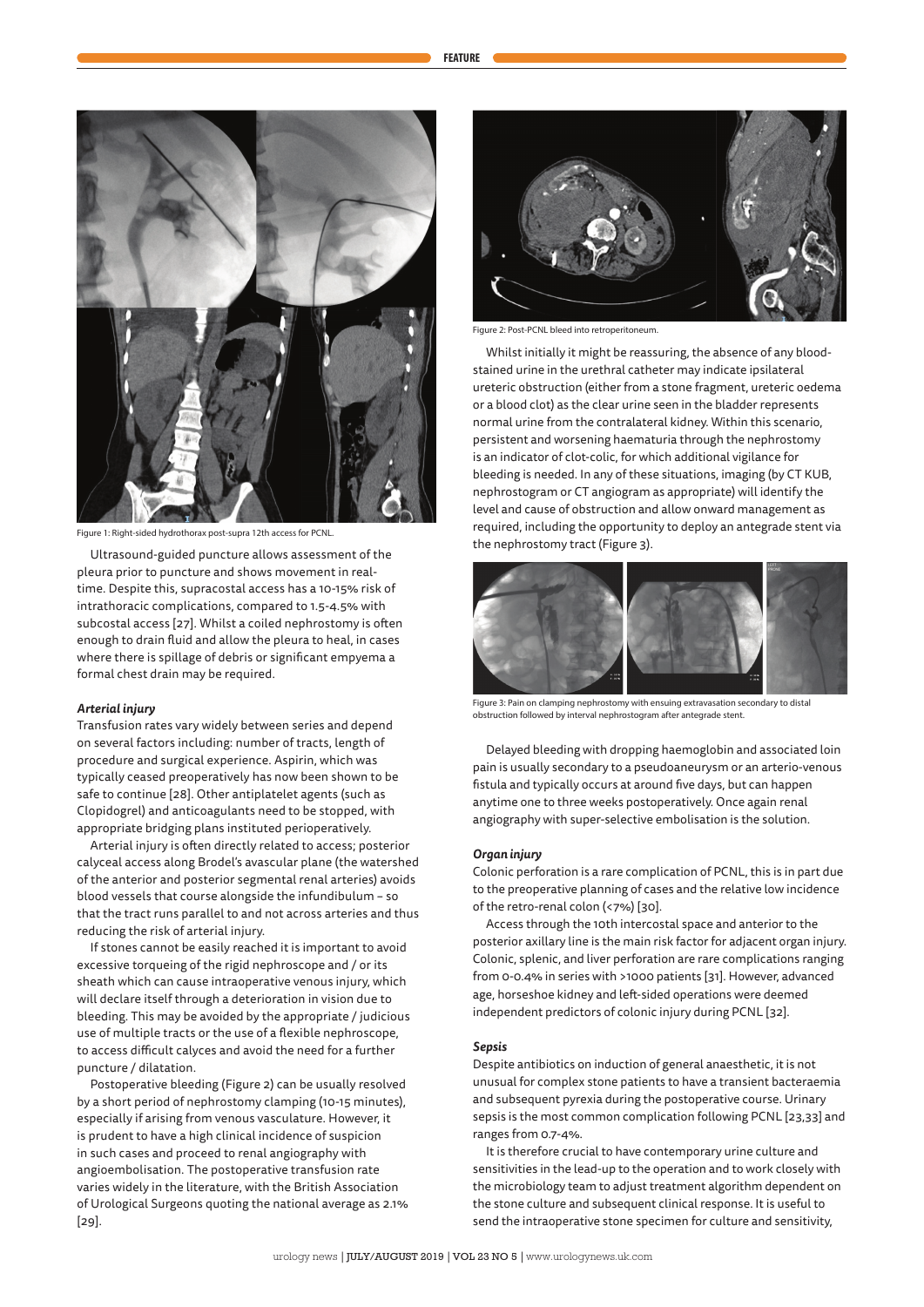



Figure 1: Right-sided hydrothorax post-supra 12th access for PCNL.

Ultrasound-guided puncture allows assessment of the pleura prior to puncture and shows movement in realtime. Despite this, supracostal access has a 10-15% risk of intrathoracic complications, compared to 1.5-4.5% with subcostal access [27]. Whilst a coiled nephrostomy is often enough to drain fluid and allow the pleura to heal, in cases where there is spillage of debris or significant empyema a formal chest drain may be required.

#### *Arterial injury*

Transfusion rates vary widely between series and depend on several factors including: number of tracts, length of procedure and surgical experience. Aspirin, which was typically ceased preoperatively has now been shown to be safe to continue [28]. Other antiplatelet agents (such as Clopidogrel) and anticoagulants need to be stopped, with appropriate bridging plans instituted perioperatively.

Arterial injury is often directly related to access; posterior calyceal access along Brodel's avascular plane (the watershed of the anterior and posterior segmental renal arteries) avoids blood vessels that course alongside the infundibulum – so that the tract runs parallel to and not across arteries and thus reducing the risk of arterial injury.

If stones cannot be easily reached it is important to avoid excessive torqueing of the rigid nephroscope and / or its sheath which can cause intraoperative venous injury, which will declare itself through a deterioration in vision due to bleeding. This may be avoided by the appropriate / judicious use of multiple tracts or the use of a flexible nephroscope, to access difficult calyces and avoid the need for a further puncture / dilatation.

Postoperative bleeding (Figure 2) can be usually resolved by a short period of nephrostomy clamping (10-15 minutes), especially if arising from venous vasculature. However, it is prudent to have a high clinical incidence of suspicion in such cases and proceed to renal angiography with angioembolisation. The postoperative transfusion rate varies widely in the literature, with the British Association of Urological Surgeons quoting the national average as 2.1% [29].



Figure 2: Post-PCNL bleed into retroperitoneum.

Whilst initially it might be reassuring, the absence of any bloodstained urine in the urethral catheter may indicate ipsilateral ureteric obstruction (either from a stone fragment, ureteric oedema or a blood clot) as the clear urine seen in the bladder represents normal urine from the contralateral kidney. Within this scenario, persistent and worsening haematuria through the nephrostomy is an indicator of clot-colic, for which additional vigilance for bleeding is needed. In any of these situations, imaging (by CT KUB, nephrostogram or CT angiogram as appropriate) will identify the level and cause of obstruction and allow onward management as required, including the opportunity to deploy an antegrade stent via the nephrostomy tract (Figure 3).



Figure 3: Pain on clamping nephrostomy with ensuing extravasation secondary to distal obstruction followed by interval nephrostogram after antegrade stent.

Delayed bleeding with dropping haemoglobin and associated loin pain is usually secondary to a pseudoaneurysm or an arterio-venous fistula and typically occurs at around five days, but can happen anytime one to three weeks postoperatively. Once again renal angiography with super-selective embolisation is the solution.

#### *Organ injury*

Colonic perforation is a rare complication of PCNL, this is in part due to the preoperative planning of cases and the relative low incidence of the retro-renal colon (<7%) [30].

Access through the 10th intercostal space and anterior to the posterior axillary line is the main risk factor for adjacent organ injury. Colonic, splenic, and liver perforation are rare complications ranging from 0-0.4% in series with >1000 patients [31]. However, advanced age, horseshoe kidney and left-sided operations were deemed independent predictors of colonic injury during PCNL [32].

#### *Sepsis*

Despite antibiotics on induction of general anaesthetic, it is not unusual for complex stone patients to have a transient bacteraemia and subsequent pyrexia during the postoperative course. Urinary sepsis is the most common complication following PCNL [23,33] and ranges from 0.7-4%.

It is therefore crucial to have contemporary urine culture and sensitivities in the lead-up to the operation and to work closely with the microbiology team to adjust treatment algorithm dependent on the stone culture and subsequent clinical response. It is useful to send the intraoperative stone specimen for culture and sensitivity,